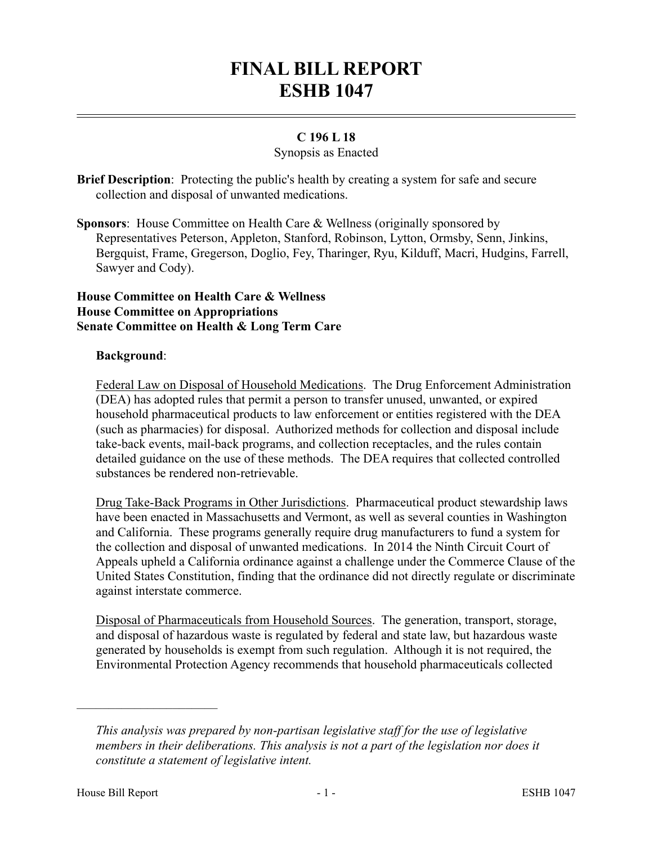# **FINAL BILL REPORT ESHB 1047**

## **C 196 L 18**

### Synopsis as Enacted

**Brief Description**: Protecting the public's health by creating a system for safe and secure collection and disposal of unwanted medications.

**Sponsors**: House Committee on Health Care & Wellness (originally sponsored by Representatives Peterson, Appleton, Stanford, Robinson, Lytton, Ormsby, Senn, Jinkins, Bergquist, Frame, Gregerson, Doglio, Fey, Tharinger, Ryu, Kilduff, Macri, Hudgins, Farrell, Sawyer and Cody).

#### **House Committee on Health Care & Wellness House Committee on Appropriations Senate Committee on Health & Long Term Care**

#### **Background**:

Federal Law on Disposal of Household Medications. The Drug Enforcement Administration (DEA) has adopted rules that permit a person to transfer unused, unwanted, or expired household pharmaceutical products to law enforcement or entities registered with the DEA (such as pharmacies) for disposal. Authorized methods for collection and disposal include take-back events, mail-back programs, and collection receptacles, and the rules contain detailed guidance on the use of these methods. The DEA requires that collected controlled substances be rendered non-retrievable.

Drug Take-Back Programs in Other Jurisdictions. Pharmaceutical product stewardship laws have been enacted in Massachusetts and Vermont, as well as several counties in Washington and California. These programs generally require drug manufacturers to fund a system for the collection and disposal of unwanted medications. In 2014 the Ninth Circuit Court of Appeals upheld a California ordinance against a challenge under the Commerce Clause of the United States Constitution, finding that the ordinance did not directly regulate or discriminate against interstate commerce.

Disposal of Pharmaceuticals from Household Sources. The generation, transport, storage, and disposal of hazardous waste is regulated by federal and state law, but hazardous waste generated by households is exempt from such regulation. Although it is not required, the Environmental Protection Agency recommends that household pharmaceuticals collected

––––––––––––––––––––––

*This analysis was prepared by non-partisan legislative staff for the use of legislative members in their deliberations. This analysis is not a part of the legislation nor does it constitute a statement of legislative intent.*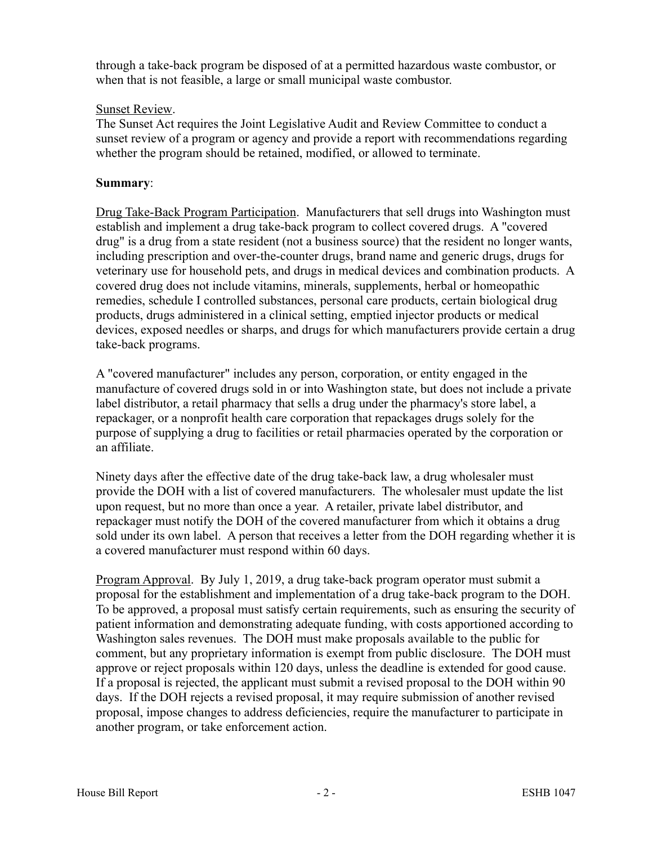through a take-back program be disposed of at a permitted hazardous waste combustor, or when that is not feasible, a large or small municipal waste combustor.

### Sunset Review.

The Sunset Act requires the Joint Legislative Audit and Review Committee to conduct a sunset review of a program or agency and provide a report with recommendations regarding whether the program should be retained, modified, or allowed to terminate.

#### **Summary**:

Drug Take-Back Program Participation. Manufacturers that sell drugs into Washington must establish and implement a drug take-back program to collect covered drugs. A "covered drug" is a drug from a state resident (not a business source) that the resident no longer wants, including prescription and over-the-counter drugs, brand name and generic drugs, drugs for veterinary use for household pets, and drugs in medical devices and combination products. A covered drug does not include vitamins, minerals, supplements, herbal or homeopathic remedies, schedule I controlled substances, personal care products, certain biological drug products, drugs administered in a clinical setting, emptied injector products or medical devices, exposed needles or sharps, and drugs for which manufacturers provide certain a drug take-back programs.

A "covered manufacturer" includes any person, corporation, or entity engaged in the manufacture of covered drugs sold in or into Washington state, but does not include a private label distributor, a retail pharmacy that sells a drug under the pharmacy's store label, a repackager, or a nonprofit health care corporation that repackages drugs solely for the purpose of supplying a drug to facilities or retail pharmacies operated by the corporation or an affiliate.

Ninety days after the effective date of the drug take-back law, a drug wholesaler must provide the DOH with a list of covered manufacturers. The wholesaler must update the list upon request, but no more than once a year. A retailer, private label distributor, and repackager must notify the DOH of the covered manufacturer from which it obtains a drug sold under its own label. A person that receives a letter from the DOH regarding whether it is a covered manufacturer must respond within 60 days.

Program Approval. By July 1, 2019, a drug take-back program operator must submit a proposal for the establishment and implementation of a drug take-back program to the DOH. To be approved, a proposal must satisfy certain requirements, such as ensuring the security of patient information and demonstrating adequate funding, with costs apportioned according to Washington sales revenues. The DOH must make proposals available to the public for comment, but any proprietary information is exempt from public disclosure. The DOH must approve or reject proposals within 120 days, unless the deadline is extended for good cause. If a proposal is rejected, the applicant must submit a revised proposal to the DOH within 90 days. If the DOH rejects a revised proposal, it may require submission of another revised proposal, impose changes to address deficiencies, require the manufacturer to participate in another program, or take enforcement action.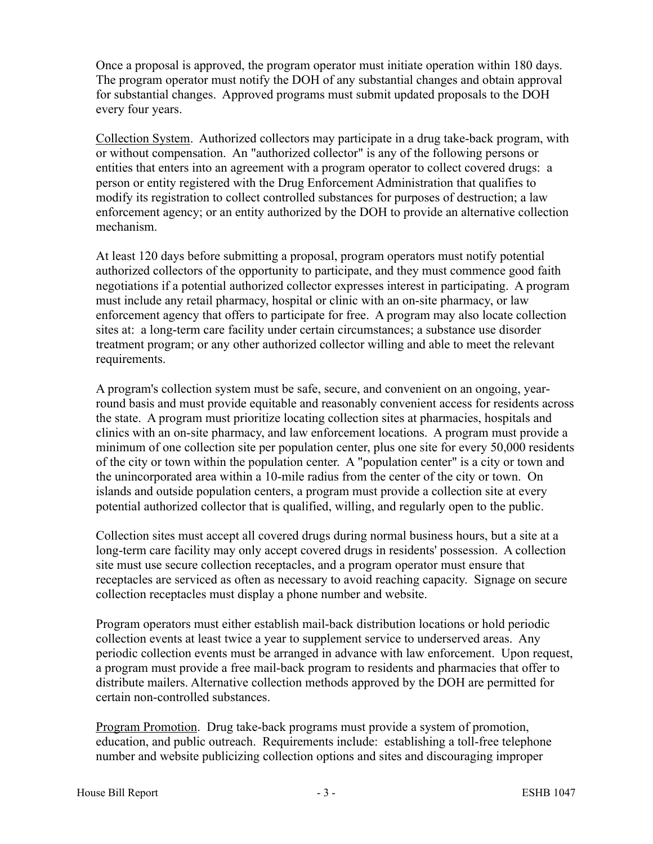Once a proposal is approved, the program operator must initiate operation within 180 days. The program operator must notify the DOH of any substantial changes and obtain approval for substantial changes. Approved programs must submit updated proposals to the DOH every four years.

Collection System. Authorized collectors may participate in a drug take-back program, with or without compensation. An "authorized collector" is any of the following persons or entities that enters into an agreement with a program operator to collect covered drugs: a person or entity registered with the Drug Enforcement Administration that qualifies to modify its registration to collect controlled substances for purposes of destruction; a law enforcement agency; or an entity authorized by the DOH to provide an alternative collection mechanism.

At least 120 days before submitting a proposal, program operators must notify potential authorized collectors of the opportunity to participate, and they must commence good faith negotiations if a potential authorized collector expresses interest in participating. A program must include any retail pharmacy, hospital or clinic with an on-site pharmacy, or law enforcement agency that offers to participate for free. A program may also locate collection sites at: a long-term care facility under certain circumstances; a substance use disorder treatment program; or any other authorized collector willing and able to meet the relevant requirements.

A program's collection system must be safe, secure, and convenient on an ongoing, yearround basis and must provide equitable and reasonably convenient access for residents across the state. A program must prioritize locating collection sites at pharmacies, hospitals and clinics with an on-site pharmacy, and law enforcement locations. A program must provide a minimum of one collection site per population center, plus one site for every 50,000 residents of the city or town within the population center. A "population center" is a city or town and the unincorporated area within a 10-mile radius from the center of the city or town. On islands and outside population centers, a program must provide a collection site at every potential authorized collector that is qualified, willing, and regularly open to the public.

Collection sites must accept all covered drugs during normal business hours, but a site at a long-term care facility may only accept covered drugs in residents' possession. A collection site must use secure collection receptacles, and a program operator must ensure that receptacles are serviced as often as necessary to avoid reaching capacity. Signage on secure collection receptacles must display a phone number and website.

Program operators must either establish mail-back distribution locations or hold periodic collection events at least twice a year to supplement service to underserved areas. Any periodic collection events must be arranged in advance with law enforcement. Upon request, a program must provide a free mail-back program to residents and pharmacies that offer to distribute mailers. Alternative collection methods approved by the DOH are permitted for certain non-controlled substances.

Program Promotion. Drug take-back programs must provide a system of promotion, education, and public outreach. Requirements include: establishing a toll-free telephone number and website publicizing collection options and sites and discouraging improper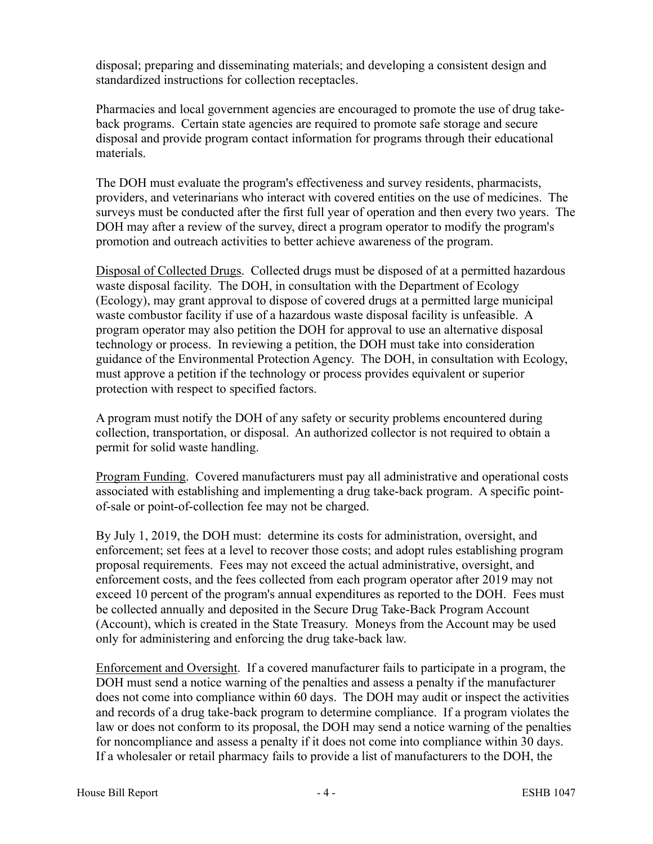disposal; preparing and disseminating materials; and developing a consistent design and standardized instructions for collection receptacles.

Pharmacies and local government agencies are encouraged to promote the use of drug takeback programs. Certain state agencies are required to promote safe storage and secure disposal and provide program contact information for programs through their educational materials.

The DOH must evaluate the program's effectiveness and survey residents, pharmacists, providers, and veterinarians who interact with covered entities on the use of medicines. The surveys must be conducted after the first full year of operation and then every two years. The DOH may after a review of the survey, direct a program operator to modify the program's promotion and outreach activities to better achieve awareness of the program.

Disposal of Collected Drugs. Collected drugs must be disposed of at a permitted hazardous waste disposal facility. The DOH, in consultation with the Department of Ecology (Ecology), may grant approval to dispose of covered drugs at a permitted large municipal waste combustor facility if use of a hazardous waste disposal facility is unfeasible. A program operator may also petition the DOH for approval to use an alternative disposal technology or process. In reviewing a petition, the DOH must take into consideration guidance of the Environmental Protection Agency. The DOH, in consultation with Ecology, must approve a petition if the technology or process provides equivalent or superior protection with respect to specified factors.

A program must notify the DOH of any safety or security problems encountered during collection, transportation, or disposal. An authorized collector is not required to obtain a permit for solid waste handling.

Program Funding. Covered manufacturers must pay all administrative and operational costs associated with establishing and implementing a drug take-back program. A specific pointof-sale or point-of-collection fee may not be charged.

By July 1, 2019, the DOH must: determine its costs for administration, oversight, and enforcement; set fees at a level to recover those costs; and adopt rules establishing program proposal requirements. Fees may not exceed the actual administrative, oversight, and enforcement costs, and the fees collected from each program operator after 2019 may not exceed 10 percent of the program's annual expenditures as reported to the DOH. Fees must be collected annually and deposited in the Secure Drug Take-Back Program Account (Account), which is created in the State Treasury. Moneys from the Account may be used only for administering and enforcing the drug take-back law.

Enforcement and Oversight. If a covered manufacturer fails to participate in a program, the DOH must send a notice warning of the penalties and assess a penalty if the manufacturer does not come into compliance within 60 days. The DOH may audit or inspect the activities and records of a drug take-back program to determine compliance. If a program violates the law or does not conform to its proposal, the DOH may send a notice warning of the penalties for noncompliance and assess a penalty if it does not come into compliance within 30 days. If a wholesaler or retail pharmacy fails to provide a list of manufacturers to the DOH, the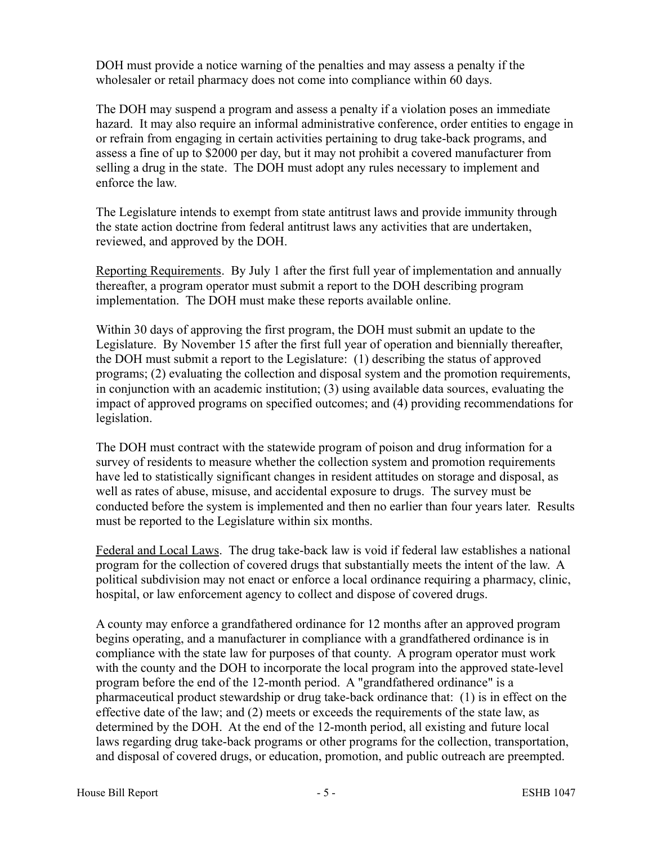DOH must provide a notice warning of the penalties and may assess a penalty if the wholesaler or retail pharmacy does not come into compliance within 60 days.

The DOH may suspend a program and assess a penalty if a violation poses an immediate hazard. It may also require an informal administrative conference, order entities to engage in or refrain from engaging in certain activities pertaining to drug take-back programs, and assess a fine of up to \$2000 per day, but it may not prohibit a covered manufacturer from selling a drug in the state. The DOH must adopt any rules necessary to implement and enforce the law.

The Legislature intends to exempt from state antitrust laws and provide immunity through the state action doctrine from federal antitrust laws any activities that are undertaken, reviewed, and approved by the DOH.

Reporting Requirements. By July 1 after the first full year of implementation and annually thereafter, a program operator must submit a report to the DOH describing program implementation. The DOH must make these reports available online.

Within 30 days of approving the first program, the DOH must submit an update to the Legislature. By November 15 after the first full year of operation and biennially thereafter, the DOH must submit a report to the Legislature: (1) describing the status of approved programs; (2) evaluating the collection and disposal system and the promotion requirements, in conjunction with an academic institution; (3) using available data sources, evaluating the impact of approved programs on specified outcomes; and (4) providing recommendations for legislation.

The DOH must contract with the statewide program of poison and drug information for a survey of residents to measure whether the collection system and promotion requirements have led to statistically significant changes in resident attitudes on storage and disposal, as well as rates of abuse, misuse, and accidental exposure to drugs. The survey must be conducted before the system is implemented and then no earlier than four years later. Results must be reported to the Legislature within six months.

Federal and Local Laws. The drug take-back law is void if federal law establishes a national program for the collection of covered drugs that substantially meets the intent of the law. A political subdivision may not enact or enforce a local ordinance requiring a pharmacy, clinic, hospital, or law enforcement agency to collect and dispose of covered drugs.

A county may enforce a grandfathered ordinance for 12 months after an approved program begins operating, and a manufacturer in compliance with a grandfathered ordinance is in compliance with the state law for purposes of that county. A program operator must work with the county and the DOH to incorporate the local program into the approved state-level program before the end of the 12-month period. A "grandfathered ordinance" is a pharmaceutical product stewardship or drug take-back ordinance that: (1) is in effect on the effective date of the law; and (2) meets or exceeds the requirements of the state law, as determined by the DOH. At the end of the 12-month period, all existing and future local laws regarding drug take-back programs or other programs for the collection, transportation, and disposal of covered drugs, or education, promotion, and public outreach are preempted.